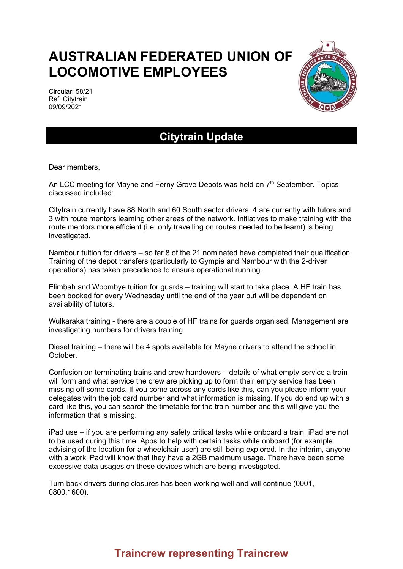## **AUSTRALIAN FEDERATED UNION OF LOCOMOTIVE EMPLOYEES**

Circular: 58/21 Ref: Citytrain 09/09/2021



## **Citytrain Update**

Dear members,

An LCC meeting for Mayne and Ferny Grove Depots was held on 7<sup>th</sup> September. Topics discussed included:

Citytrain currently have 88 North and 60 South sector drivers. 4 are currently with tutors and 3 with route mentors learning other areas of the network. Initiatives to make training with the route mentors more efficient (i.e. only travelling on routes needed to be learnt) is being investigated.

Nambour tuition for drivers – so far 8 of the 21 nominated have completed their qualification. Training of the depot transfers (particularly to Gympie and Nambour with the 2-driver operations) has taken precedence to ensure operational running.

Elimbah and Woombye tuition for guards – training will start to take place. A HF train has been booked for every Wednesday until the end of the year but will be dependent on availability of tutors.

Wulkaraka training - there are a couple of HF trains for guards organised. Management are investigating numbers for drivers training.

Diesel training – there will be 4 spots available for Mayne drivers to attend the school in October.

Confusion on terminating trains and crew handovers – details of what empty service a train will form and what service the crew are picking up to form their empty service has been missing off some cards. If you come across any cards like this, can you please inform your delegates with the job card number and what information is missing. If you do end up with a card like this, you can search the timetable for the train number and this will give you the information that is missing.

iPad use – if you are performing any safety critical tasks while onboard a train, iPad are not to be used during this time. Apps to help with certain tasks while onboard (for example advising of the location for a wheelchair user) are still being explored. In the interim, anyone with a work iPad will know that they have a 2GB maximum usage. There have been some excessive data usages on these devices which are being investigated.

Turn back drivers during closures has been working well and will continue (0001, 0800,1600).

## **Traincrew representing Traincrew**